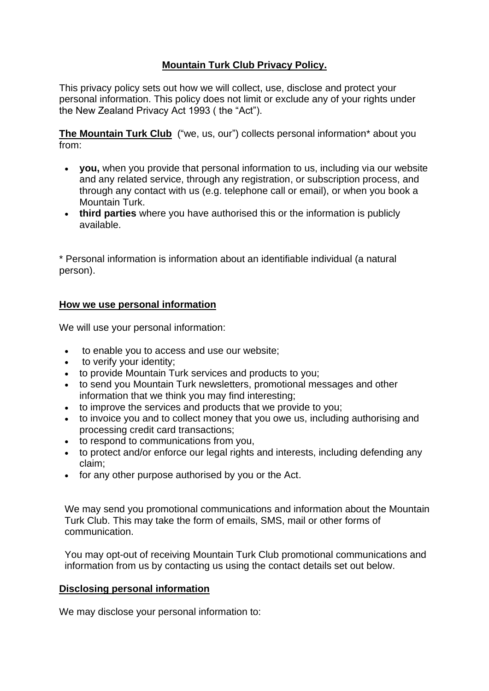# **Mountain Turk Club Privacy Policy.**

This privacy policy sets out how we will collect, use, disclose and protect your personal information. This policy does not limit or exclude any of your rights under the New Zealand Privacy Act 1993 ( the "Act").

The Mountain Turk Club ("we, us, our") collects personal information\* about you from:

- **you,** when you provide that personal information to us, including via our website and any related service, through any registration, or subscription process, and through any contact with us (e.g. telephone call or email), or when you book a Mountain Turk.
- **third parties** where you have authorised this or the information is publicly available.

\* Personal information is information about an identifiable individual (a natural person).

### **How we use personal information**

We will use your personal information:

- to enable you to access and use our website;
- to verify your identity;
- to provide Mountain Turk services and products to you;
- to send you Mountain Turk newsletters, promotional messages and other information that we think you may find interesting;
- to improve the services and products that we provide to you;
- to invoice you and to collect money that you owe us, including authorising and processing credit card transactions;
- to respond to communications from you,
- to protect and/or enforce our legal rights and interests, including defending any claim;
- for any other purpose authorised by you or the Act.

We may send you promotional communications and information about the Mountain Turk Club. This may take the form of emails, SMS, mail or other forms of communication.

You may opt-out of receiving Mountain Turk Club promotional communications and information from us by contacting us using the contact details set out below.

#### **Disclosing personal information**

We may disclose your personal information to: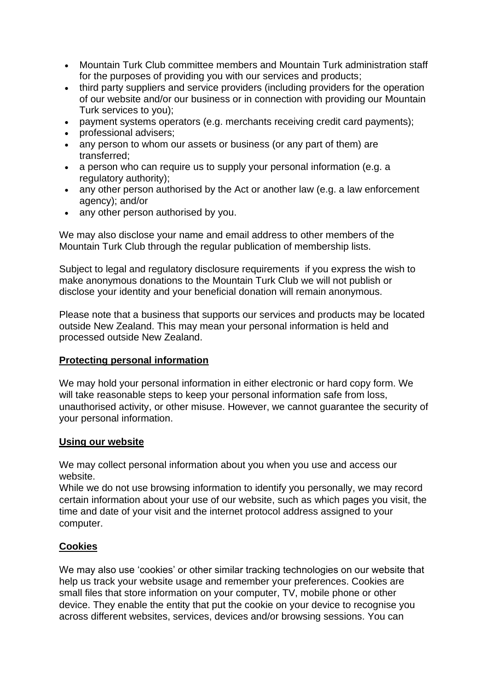- Mountain Turk Club committee members and Mountain Turk administration staff for the purposes of providing you with our services and products;
- third party suppliers and service providers (including providers for the operation of our website and/or our business or in connection with providing our Mountain Turk services to you);
- payment systems operators (e.g. merchants receiving credit card payments);
- professional advisers;
- any person to whom our assets or business (or any part of them) are transferred;
- a person who can require us to supply your personal information (e.g. a regulatory authority);
- any other person authorised by the Act or another law (e.g. a law enforcement agency); and/or
- any other person authorised by you.

We may also disclose your name and email address to other members of the Mountain Turk Club through the regular publication of membership lists.

Subject to legal and regulatory disclosure requirements if you express the wish to make anonymous donations to the Mountain Turk Club we will not publish or disclose your identity and your beneficial donation will remain anonymous.

Please note that a business that supports our services and products may be located outside New Zealand. This may mean your personal information is held and processed outside New Zealand.

#### **Protecting personal information**

We may hold your personal information in either electronic or hard copy form. We will take reasonable steps to keep your personal information safe from loss, unauthorised activity, or other misuse. However, we cannot guarantee the security of your personal information.

#### **Using our website**

We may collect personal information about you when you use and access our website.

While we do not use browsing information to identify you personally, we may record certain information about your use of our website, such as which pages you visit, the time and date of your visit and the internet protocol address assigned to your computer.

### **Cookies**

We may also use 'cookies' or other similar tracking technologies on our website that help us track your website usage and remember your preferences. Cookies are small files that store information on your computer, TV, mobile phone or other device. They enable the entity that put the cookie on your device to recognise you across different websites, services, devices and/or browsing sessions. You can